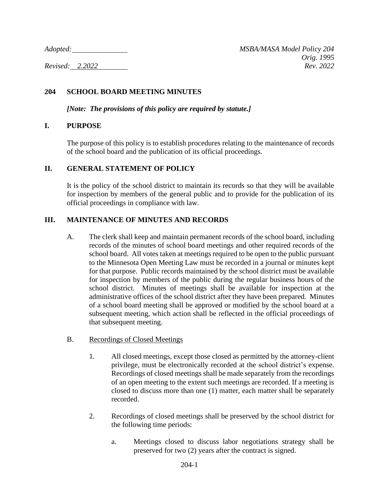*Adopted: MSBA/MASA Model Policy 204 Orig. 1995 Revised: 2.2022 Rev. 2022*

# **204 SCHOOL BOARD MEETING MINUTES**

*[Note: The provisions of this policy are required by statute.]*

#### **I. PURPOSE**

The purpose of this policy is to establish procedures relating to the maintenance of records of the school board and the publication of its official proceedings.

## **II. GENERAL STATEMENT OF POLICY**

It is the policy of the school district to maintain its records so that they will be available for inspection by members of the general public and to provide for the publication of its official proceedings in compliance with law.

## **III. MAINTENANCE OF MINUTES AND RECORDS**

- A. The clerk shall keep and maintain permanent records of the school board, including records of the minutes of school board meetings and other required records of the school board. All votes taken at meetings required to be open to the public pursuant to the Minnesota Open Meeting Law must be recorded in a journal or minutes kept for that purpose. Public records maintained by the school district must be available for inspection by members of the public during the regular business hours of the school district. Minutes of meetings shall be available for inspection at the administrative offices of the school district after they have been prepared. Minutes of a school board meeting shall be approved or modified by the school board at a subsequent meeting, which action shall be reflected in the official proceedings of that subsequent meeting.
- B. Recordings of Closed Meetings
	- 1. All closed meetings, except those closed as permitted by the attorney-client privilege, must be electronically recorded at the school district's expense. Recordings of closed meetings shall be made separately from the recordings of an open meeting to the extent such meetings are recorded. If a meeting is closed to discuss more than one (1) matter, each matter shall be separately recorded.
	- 2. Recordings of closed meetings shall be preserved by the school district for the following time periods:
		- a. Meetings closed to discuss labor negotiations strategy shall be preserved for two (2) years after the contract is signed.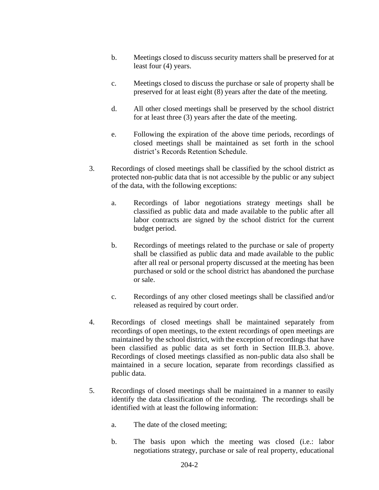- b. Meetings closed to discuss security matters shall be preserved for at least four (4) years.
- c. Meetings closed to discuss the purchase or sale of property shall be preserved for at least eight (8) years after the date of the meeting.
- d. All other closed meetings shall be preserved by the school district for at least three (3) years after the date of the meeting.
- e. Following the expiration of the above time periods, recordings of closed meetings shall be maintained as set forth in the school district's Records Retention Schedule.
- 3. Recordings of closed meetings shall be classified by the school district as protected non-public data that is not accessible by the public or any subject of the data, with the following exceptions:
	- a. Recordings of labor negotiations strategy meetings shall be classified as public data and made available to the public after all labor contracts are signed by the school district for the current budget period.
	- b. Recordings of meetings related to the purchase or sale of property shall be classified as public data and made available to the public after all real or personal property discussed at the meeting has been purchased or sold or the school district has abandoned the purchase or sale.
	- c. Recordings of any other closed meetings shall be classified and/or released as required by court order.
- 4. Recordings of closed meetings shall be maintained separately from recordings of open meetings, to the extent recordings of open meetings are maintained by the school district, with the exception of recordings that have been classified as public data as set forth in Section III.B.3. above. Recordings of closed meetings classified as non-public data also shall be maintained in a secure location, separate from recordings classified as public data.
- 5. Recordings of closed meetings shall be maintained in a manner to easily identify the data classification of the recording. The recordings shall be identified with at least the following information:
	- a. The date of the closed meeting;
	- b. The basis upon which the meeting was closed (i.e.: labor negotiations strategy, purchase or sale of real property, educational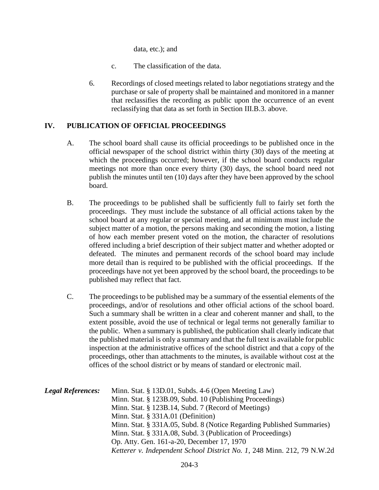data, etc.); and

- c. The classification of the data.
- 6. Recordings of closed meetings related to labor negotiations strategy and the purchase or sale of property shall be maintained and monitored in a manner that reclassifies the recording as public upon the occurrence of an event reclassifying that data as set forth in Section III.B.3. above.

## **IV. PUBLICATION OF OFFICIAL PROCEEDINGS**

- A. The school board shall cause its official proceedings to be published once in the official newspaper of the school district within thirty (30) days of the meeting at which the proceedings occurred; however, if the school board conducts regular meetings not more than once every thirty (30) days, the school board need not publish the minutes until ten (10) days after they have been approved by the school board.
- B. The proceedings to be published shall be sufficiently full to fairly set forth the proceedings. They must include the substance of all official actions taken by the school board at any regular or special meeting, and at minimum must include the subject matter of a motion, the persons making and seconding the motion, a listing of how each member present voted on the motion, the character of resolutions offered including a brief description of their subject matter and whether adopted or defeated. The minutes and permanent records of the school board may include more detail than is required to be published with the official proceedings. If the proceedings have not yet been approved by the school board, the proceedings to be published may reflect that fact.
- C. The proceedings to be published may be a summary of the essential elements of the proceedings, and/or of resolutions and other official actions of the school board. Such a summary shall be written in a clear and coherent manner and shall, to the extent possible, avoid the use of technical or legal terms not generally familiar to the public. When a summary is published, the publication shall clearly indicate that the published material is only a summary and that the full text is available for public inspection at the administrative offices of the school district and that a copy of the proceedings, other than attachments to the minutes, is available without cost at the offices of the school district or by means of standard or electronic mail.

| <b>Legal References:</b> | Minn. Stat. § 13D.01, Subds. 4-6 (Open Meeting Law)                     |
|--------------------------|-------------------------------------------------------------------------|
|                          | Minn. Stat. § 123B.09, Subd. 10 (Publishing Proceedings)                |
|                          | Minn. Stat. § 123B.14, Subd. 7 (Record of Meetings)                     |
|                          | Minn. Stat. $\S$ 331A.01 (Definition)                                   |
|                          | Minn. Stat. § 331A.05, Subd. 8 (Notice Regarding Published Summaries)   |
|                          | Minn. Stat. § 331A.08, Subd. 3 (Publication of Proceedings)             |
|                          | Op. Atty. Gen. 161-a-20, December 17, 1970                              |
|                          | Ketterer v. Independent School District No. 1, 248 Minn. 212, 79 N.W.2d |